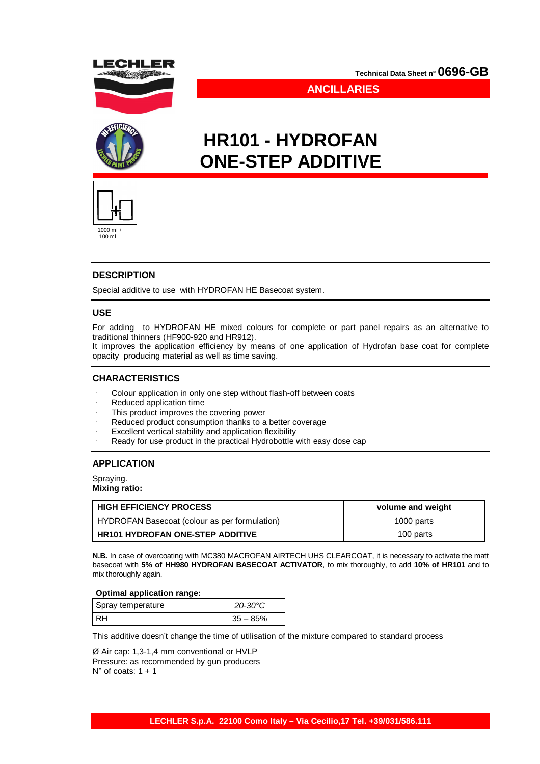

**Technical Data Sheet n° 0696-GB**

**ANCILLARIES**

# **HR101 - HYDROFAN ONE-STEP ADDITIVE**



100 ml

## **DESCRIPTION**

Special additive to use with HYDROFAN HE Basecoat system.

## **USE**

For adding to HYDROFAN HE mixed colours for complete or part panel repairs as an alternative to traditional thinners (HF900-920 and HR912).

It improves the application efficiency by means of one application of Hydrofan base coat for complete opacity producing material as well as time saving.

## **CHARACTERISTICS**

- Colour application in only one step without flash-off between coats
- Reduced application time
- This product improves the covering power
- Reduced product consumption thanks to a better coverage
- Excellent vertical stability and application flexibility
- Ready for use product in the practical Hydrobottle with easy dose cap

#### **APPLICATION**

Spraying. **Mixing ratio:**

| <b>HIGH EFFICIENCY PROCESS</b>                | volume and weight |
|-----------------------------------------------|-------------------|
| HYDROFAN Basecoat (colour as per formulation) | 1000 parts        |
| <b>HR101 HYDROFAN ONE-STEP ADDITIVE</b>       | 100 parts         |

**N.B.** In case of overcoating with MC380 MACROFAN AIRTECH UHS CLEARCOAT, it is necessary to activate the matt basecoat with **5% of HH980 HYDROFAN BASECOAT ACTIVATOR**, to mix thoroughly, to add **10% of HR101** and to mix thoroughly again.

#### **Optimal application range:**

| Spray temperature | $20 - 30^{\circ}C$ |
|-------------------|--------------------|
|                   | $35 - 85%$         |

This additive doesn't change the time of utilisation of the mixture compared to standard process

Ø Air cap: 1,3-1,4 mm conventional or HVLP Pressure: as recommended by gun producers  $N^{\circ}$  of coats: 1 + 1